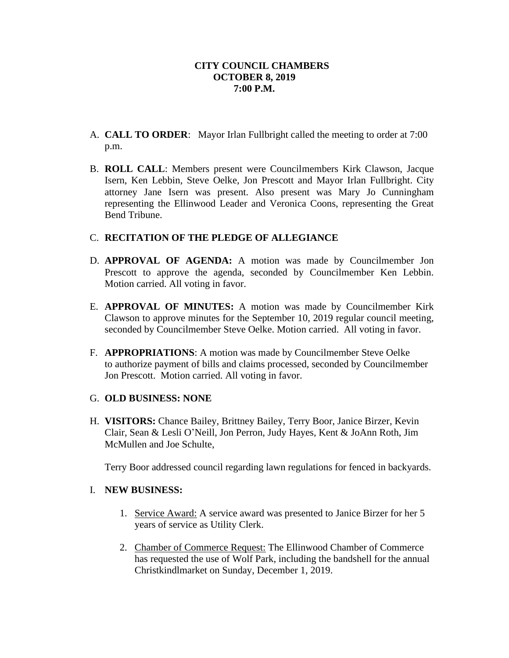- A. **CALL TO ORDER**: Mayor Irlan Fullbright called the meeting to order at 7:00 p.m.
- B. **ROLL CALL**: Members present were Councilmembers Kirk Clawson, Jacque Isern, Ken Lebbin, Steve Oelke, Jon Prescott and Mayor Irlan Fullbright. City attorney Jane Isern was present. Also present was Mary Jo Cunningham representing the Ellinwood Leader and Veronica Coons, representing the Great Bend Tribune.

# C. **RECITATION OF THE PLEDGE OF ALLEGIANCE**

- D. **APPROVAL OF AGENDA:** A motion was made by Councilmember Jon Prescott to approve the agenda, seconded by Councilmember Ken Lebbin. Motion carried. All voting in favor.
- E. **APPROVAL OF MINUTES:** A motion was made by Councilmember Kirk Clawson to approve minutes for the September 10, 2019 regular council meeting, seconded by Councilmember Steve Oelke. Motion carried. All voting in favor.
- F. **APPROPRIATIONS**: A motion was made by Councilmember Steve Oelke to authorize payment of bills and claims processed, seconded by Councilmember Jon Prescott. Motion carried. All voting in favor.

## G. **OLD BUSINESS: NONE**

H. **VISITORS:** Chance Bailey, Brittney Bailey, Terry Boor, Janice Birzer, Kevin Clair, Sean & Lesli O'Neill, Jon Perron, Judy Hayes, Kent & JoAnn Roth, Jim McMullen and Joe Schulte,

Terry Boor addressed council regarding lawn regulations for fenced in backyards.

# I. **NEW BUSINESS:**

- 1. Service Award: A service award was presented to Janice Birzer for her 5 years of service as Utility Clerk.
- 2. Chamber of Commerce Request: The Ellinwood Chamber of Commerce has requested the use of Wolf Park, including the bandshell for the annual Christkindlmarket on Sunday, December 1, 2019.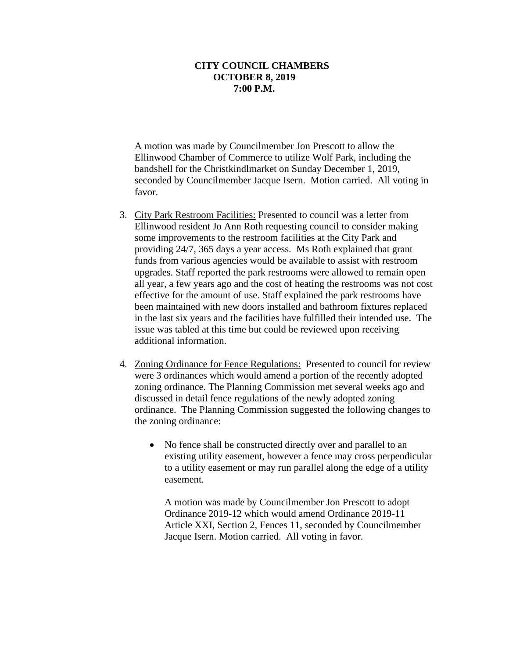A motion was made by Councilmember Jon Prescott to allow the Ellinwood Chamber of Commerce to utilize Wolf Park, including the bandshell for the Christkindlmarket on Sunday December 1, 2019, seconded by Councilmember Jacque Isern. Motion carried. All voting in favor.

- 3. City Park Restroom Facilities: Presented to council was a letter from Ellinwood resident Jo Ann Roth requesting council to consider making some improvements to the restroom facilities at the City Park and providing 24/7, 365 days a year access. Ms Roth explained that grant funds from various agencies would be available to assist with restroom upgrades. Staff reported the park restrooms were allowed to remain open all year, a few years ago and the cost of heating the restrooms was not cost effective for the amount of use. Staff explained the park restrooms have been maintained with new doors installed and bathroom fixtures replaced in the last six years and the facilities have fulfilled their intended use. The issue was tabled at this time but could be reviewed upon receiving additional information.
- 4. Zoning Ordinance for Fence Regulations: Presented to council for review were 3 ordinances which would amend a portion of the recently adopted zoning ordinance. The Planning Commission met several weeks ago and discussed in detail fence regulations of the newly adopted zoning ordinance. The Planning Commission suggested the following changes to the zoning ordinance:
	- No fence shall be constructed directly over and parallel to an existing utility easement, however a fence may cross perpendicular to a utility easement or may run parallel along the edge of a utility easement.

A motion was made by Councilmember Jon Prescott to adopt Ordinance 2019-12 which would amend Ordinance 2019-11 Article XXI, Section 2, Fences 11, seconded by Councilmember Jacque Isern. Motion carried. All voting in favor.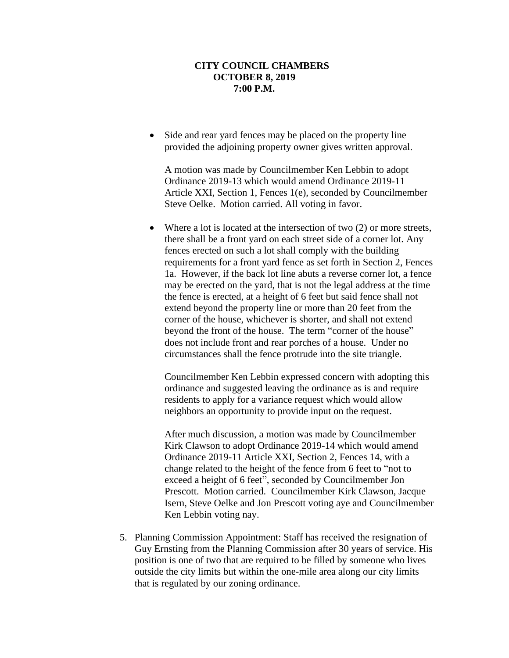Side and rear yard fences may be placed on the property line provided the adjoining property owner gives written approval.

A motion was made by Councilmember Ken Lebbin to adopt Ordinance 2019-13 which would amend Ordinance 2019-11 Article XXI, Section 1, Fences 1(e), seconded by Councilmember Steve Oelke. Motion carried. All voting in favor.

• Where a lot is located at the intersection of two (2) or more streets, there shall be a front yard on each street side of a corner lot. Any fences erected on such a lot shall comply with the building requirements for a front yard fence as set forth in Section 2, Fences 1a. However, if the back lot line abuts a reverse corner lot, a fence may be erected on the yard, that is not the legal address at the time the fence is erected, at a height of 6 feet but said fence shall not extend beyond the property line or more than 20 feet from the corner of the house, whichever is shorter, and shall not extend beyond the front of the house. The term "corner of the house" does not include front and rear porches of a house. Under no circumstances shall the fence protrude into the site triangle.

Councilmember Ken Lebbin expressed concern with adopting this ordinance and suggested leaving the ordinance as is and require residents to apply for a variance request which would allow neighbors an opportunity to provide input on the request.

After much discussion, a motion was made by Councilmember Kirk Clawson to adopt Ordinance 2019-14 which would amend Ordinance 2019-11 Article XXI, Section 2, Fences 14, with a change related to the height of the fence from 6 feet to "not to exceed a height of 6 feet", seconded by Councilmember Jon Prescott. Motion carried. Councilmember Kirk Clawson, Jacque Isern, Steve Oelke and Jon Prescott voting aye and Councilmember Ken Lebbin voting nay.

5. Planning Commission Appointment: Staff has received the resignation of Guy Ernsting from the Planning Commission after 30 years of service. His position is one of two that are required to be filled by someone who lives outside the city limits but within the one-mile area along our city limits that is regulated by our zoning ordinance.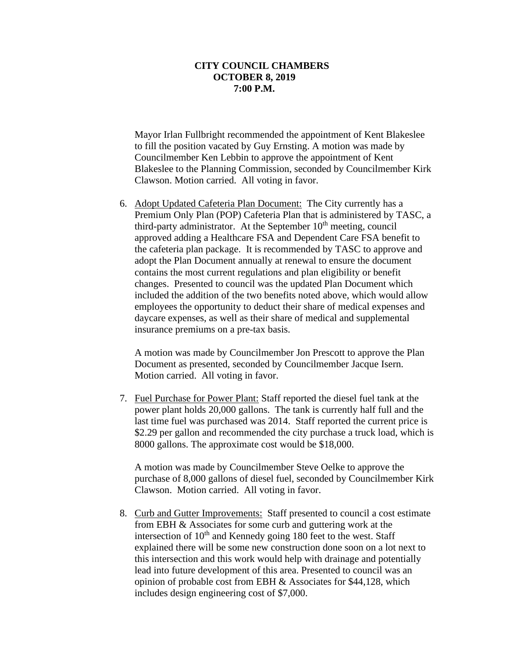Mayor Irlan Fullbright recommended the appointment of Kent Blakeslee to fill the position vacated by Guy Ernsting. A motion was made by Councilmember Ken Lebbin to approve the appointment of Kent Blakeslee to the Planning Commission, seconded by Councilmember Kirk Clawson. Motion carried. All voting in favor.

6. Adopt Updated Cafeteria Plan Document: The City currently has a Premium Only Plan (POP) Cafeteria Plan that is administered by TASC, a third-party administrator. At the September  $10<sup>th</sup>$  meeting, council approved adding a Healthcare FSA and Dependent Care FSA benefit to the cafeteria plan package. It is recommended by TASC to approve and adopt the Plan Document annually at renewal to ensure the document contains the most current regulations and plan eligibility or benefit changes. Presented to council was the updated Plan Document which included the addition of the two benefits noted above, which would allow employees the opportunity to deduct their share of medical expenses and daycare expenses, as well as their share of medical and supplemental insurance premiums on a pre-tax basis.

A motion was made by Councilmember Jon Prescott to approve the Plan Document as presented, seconded by Councilmember Jacque Isern. Motion carried. All voting in favor.

7. Fuel Purchase for Power Plant: Staff reported the diesel fuel tank at the power plant holds 20,000 gallons. The tank is currently half full and the last time fuel was purchased was 2014. Staff reported the current price is \$2.29 per gallon and recommended the city purchase a truck load, which is 8000 gallons. The approximate cost would be \$18,000.

A motion was made by Councilmember Steve Oelke to approve the purchase of 8,000 gallons of diesel fuel, seconded by Councilmember Kirk Clawson. Motion carried. All voting in favor.

8. Curb and Gutter Improvements: Staff presented to council a cost estimate from EBH & Associates for some curb and guttering work at the intersection of  $10<sup>th</sup>$  and Kennedy going 180 feet to the west. Staff explained there will be some new construction done soon on a lot next to this intersection and this work would help with drainage and potentially lead into future development of this area. Presented to council was an opinion of probable cost from EBH & Associates for \$44,128, which includes design engineering cost of \$7,000.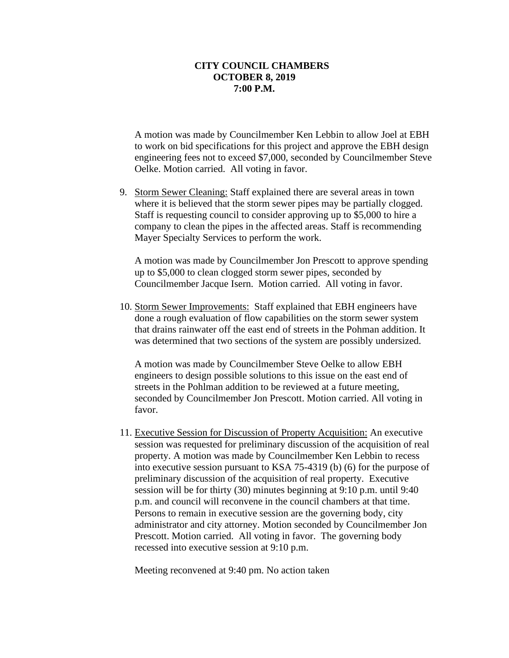A motion was made by Councilmember Ken Lebbin to allow Joel at EBH to work on bid specifications for this project and approve the EBH design engineering fees not to exceed \$7,000, seconded by Councilmember Steve Oelke. Motion carried. All voting in favor.

9. Storm Sewer Cleaning: Staff explained there are several areas in town where it is believed that the storm sewer pipes may be partially clogged. Staff is requesting council to consider approving up to \$5,000 to hire a company to clean the pipes in the affected areas. Staff is recommending Mayer Specialty Services to perform the work.

A motion was made by Councilmember Jon Prescott to approve spending up to \$5,000 to clean clogged storm sewer pipes, seconded by Councilmember Jacque Isern. Motion carried. All voting in favor.

10. Storm Sewer Improvements: Staff explained that EBH engineers have done a rough evaluation of flow capabilities on the storm sewer system that drains rainwater off the east end of streets in the Pohman addition. It was determined that two sections of the system are possibly undersized.

A motion was made by Councilmember Steve Oelke to allow EBH engineers to design possible solutions to this issue on the east end of streets in the Pohlman addition to be reviewed at a future meeting, seconded by Councilmember Jon Prescott. Motion carried. All voting in favor.

11. Executive Session for Discussion of Property Acquisition: An executive session was requested for preliminary discussion of the acquisition of real property. A motion was made by Councilmember Ken Lebbin to recess into executive session pursuant to KSA 75-4319 (b) (6) for the purpose of preliminary discussion of the acquisition of real property. Executive session will be for thirty (30) minutes beginning at 9:10 p.m. until 9:40 p.m. and council will reconvene in the council chambers at that time. Persons to remain in executive session are the governing body, city administrator and city attorney. Motion seconded by Councilmember Jon Prescott. Motion carried. All voting in favor. The governing body recessed into executive session at 9:10 p.m.

Meeting reconvened at 9:40 pm. No action taken